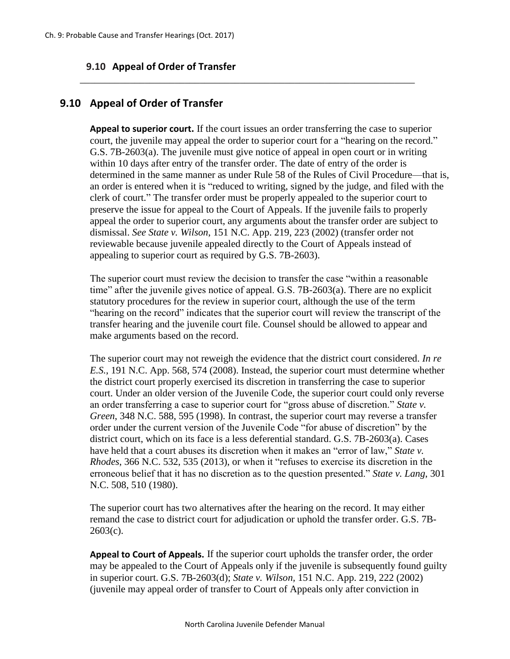## **9.10 Appeal of Order of Transfer**

## **9.10 Appeal of Order of Transfer**

**Appeal to superior court.** If the court issues an order transferring the case to superior court, the juvenile may appeal the order to superior court for a "hearing on the record." G.S. 7B-2603(a). The juvenile must give notice of appeal in open court or in writing within 10 days after entry of the transfer order. The date of entry of the order is determined in the same manner as under Rule 58 of the Rules of Civil Procedure—that is, an order is entered when it is "reduced to writing, signed by the judge, and filed with the clerk of court." The transfer order must be properly appealed to the superior court to preserve the issue for appeal to the Court of Appeals. If the juvenile fails to properly appeal the order to superior court, any arguments about the transfer order are subject to dismissal. *See State v. Wilson*, 151 N.C. App. 219, 223 (2002) (transfer order not reviewable because juvenile appealed directly to the Court of Appeals instead of appealing to superior court as required by G.S. 7B-2603).

\_\_\_\_\_\_\_\_\_\_\_\_\_\_\_\_\_\_\_\_\_\_\_\_\_\_\_\_\_\_\_\_\_\_\_\_\_\_\_\_\_\_\_\_\_\_\_\_\_\_\_\_\_\_\_\_\_\_\_\_\_\_\_\_\_\_\_

The superior court must review the decision to transfer the case "within a reasonable time" after the juvenile gives notice of appeal. G.S. 7B-2603(a). There are no explicit statutory procedures for the review in superior court, although the use of the term "hearing on the record" indicates that the superior court will review the transcript of the transfer hearing and the juvenile court file. Counsel should be allowed to appear and make arguments based on the record.

The superior court may not reweigh the evidence that the district court considered. *In re E.S.*, 191 N.C. App. 568, 574 (2008). Instead, the superior court must determine whether the district court properly exercised its discretion in transferring the case to superior court. Under an older version of the Juvenile Code, the superior court could only reverse an order transferring a case to superior court for "gross abuse of discretion." *State v. Green*, 348 N.C. 588, 595 (1998). In contrast, the superior court may reverse a transfer order under the current version of the Juvenile Code "for abuse of discretion" by the district court, which on its face is a less deferential standard. G.S. 7B-2603(a). Cases have held that a court abuses its discretion when it makes an "error of law," *State v. Rhodes*, 366 N.C. 532, 535 (2013), or when it "refuses to exercise its discretion in the erroneous belief that it has no discretion as to the question presented." *State v. Lang*, 301 N.C. 508, 510 (1980).

The superior court has two alternatives after the hearing on the record. It may either remand the case to district court for adjudication or uphold the transfer order. G.S. 7B- $2603(c)$ .

**Appeal to Court of Appeals.** If the superior court upholds the transfer order, the order may be appealed to the Court of Appeals only if the juvenile is subsequently found guilty in superior court. G.S. 7B-2603(d); *State v. Wilson,* 151 N.C. App. 219, 222 (2002) (juvenile may appeal order of transfer to Court of Appeals only after conviction in